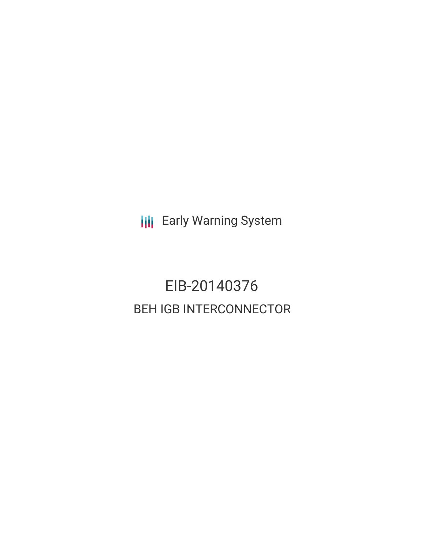**III** Early Warning System

# EIB-20140376 BEH IGB INTERCONNECTOR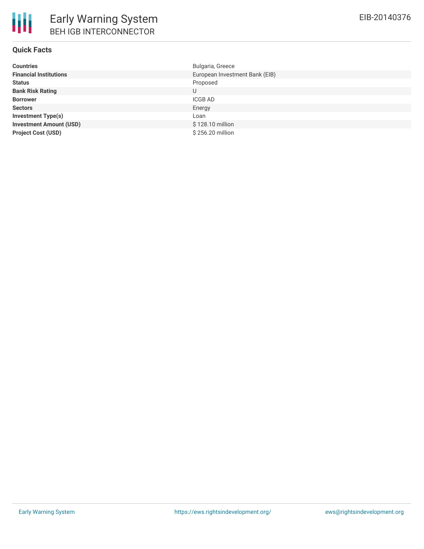## **Quick Facts**

| <b>Countries</b>               | Bulgaria, Greece               |
|--------------------------------|--------------------------------|
| <b>Financial Institutions</b>  | European Investment Bank (EIB) |
| <b>Status</b>                  | Proposed                       |
| <b>Bank Risk Rating</b>        | U                              |
| <b>Borrower</b>                | ICGB AD                        |
| <b>Sectors</b>                 | Energy                         |
| <b>Investment Type(s)</b>      | Loan                           |
| <b>Investment Amount (USD)</b> | \$128.10 million               |
| <b>Project Cost (USD)</b>      | \$256.20 million               |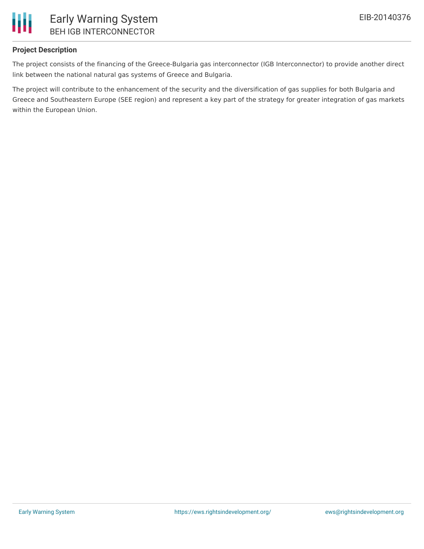

#### **Project Description**

The project consists of the financing of the Greece-Bulgaria gas interconnector (IGB Interconnector) to provide another direct link between the national natural gas systems of Greece and Bulgaria.

The project will contribute to the enhancement of the security and the diversification of gas supplies for both Bulgaria and Greece and Southeastern Europe (SEE region) and represent a key part of the strategy for greater integration of gas markets within the European Union.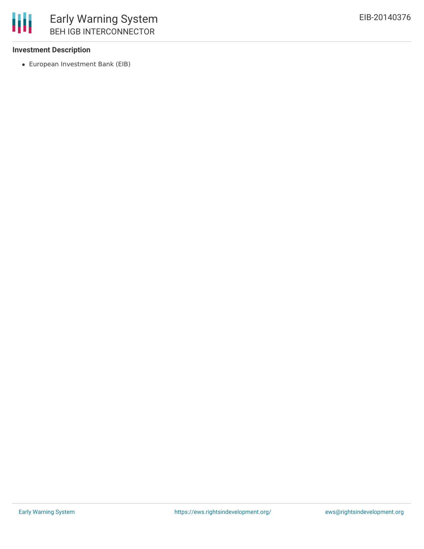

#### **Investment Description**

European Investment Bank (EIB)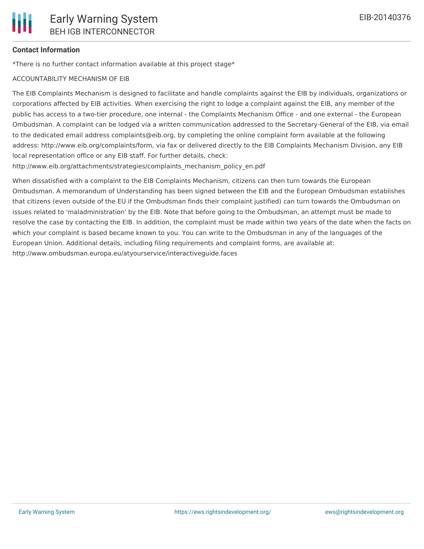# **Contact Information**

\*There is no further contact information available at this project stage\*

# ACCOUNTABILITY MECHANISM OF EIB

The EIB Complaints Mechanism is designed to facilitate and handle complaints against the EIB by individuals, organizations or corporations affected by EIB activities. When exercising the right to lodge a complaint against the EIB, any member of the public has access to a two-tier procedure, one internal - the Complaints Mechanism Office - and one external - the European Ombudsman. A complaint can be lodged via a written communication addressed to the Secretary-General of the EIB, via email to the dedicated email address complaints@eib.org, by completing the online complaint form available at the following address: http://www.eib.org/complaints/form, via fax or delivered directly to the EIB Complaints Mechanism Division, any EIB local representation office or any EIB staff. For further details, check:

http://www.eib.org/attachments/strategies/complaints\_mechanism\_policy\_en.pdf

When dissatisfied with a complaint to the EIB Complaints Mechanism, citizens can then turn towards the European Ombudsman. A memorandum of Understanding has been signed between the EIB and the European Ombudsman establishes that citizens (even outside of the EU if the Ombudsman finds their complaint justified) can turn towards the Ombudsman on issues related to 'maladministration' by the EIB. Note that before going to the Ombudsman, an attempt must be made to resolve the case by contacting the EIB. In addition, the complaint must be made within two years of the date when the facts on which your complaint is based became known to you. You can write to the Ombudsman in any of the languages of the European Union. Additional details, including filing requirements and complaint forms, are available at: http://www.ombudsman.europa.eu/atyourservice/interactiveguide.faces